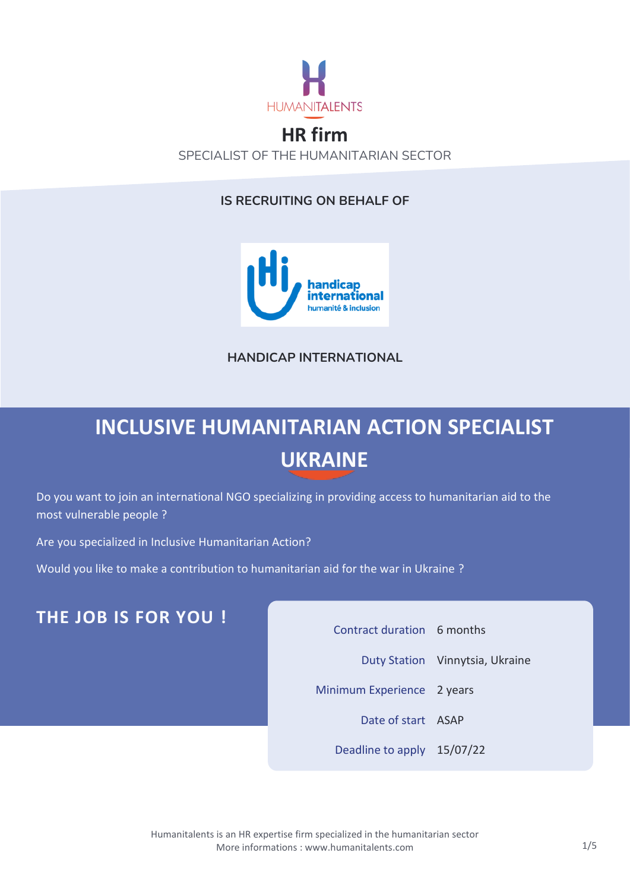

### **HR firm** SPECIALIST OF THE HUMANITARIAN SECTOR

#### **IS RECRUITING ON BEHALF OF**



**HANDICAP INTERNATIONAL**

# **INCLUSIVE HUMANITARIAN ACTION SPECIALIST UKRAINE**

Do you want to join an international NGO specializing in providing access to humanitarian aid to the most vulnerable people ?

Are you specialized in Inclusive Humanitarian Action?

Would you like to make a contribution to humanitarian aid for the war in Ukraine ?

### **THE JOB IS FOR YOU !**

| Contract duration 6 months |                                 |
|----------------------------|---------------------------------|
|                            | Duty Station Vinnytsia, Ukraine |
| Minimum Experience 2 years |                                 |
| Date of start ASAP         |                                 |
| Deadline to apply 15/07/22 |                                 |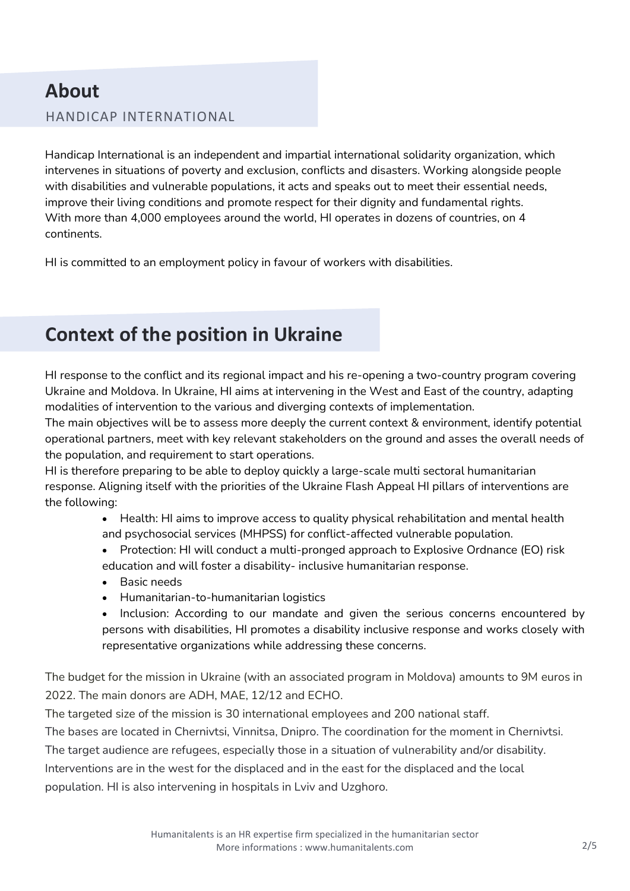## **About**

#### HANDICAP INTERNATIONAL

Handicap International is an independent and impartial international solidarity organization, which intervenes in situations of poverty and exclusion, conflicts and disasters. Working alongside people with disabilities and vulnerable populations, it acts and speaks out to meet their essential needs, improve their living conditions and promote respect for their dignity and fundamental rights. With more than 4,000 employees around the world, HI operates in dozens of countries, on 4 continents.

HI is committed to an employment policy in favour of workers with disabilities.

## **Context of the position in Ukraine**

HI response to the conflict and its regional impact and his re-opening a two-country program covering Ukraine and Moldova. In Ukraine, HI aims at intervening in the West and East of the country, adapting modalities of intervention to the various and diverging contexts of implementation.

The main objectives will be to assess more deeply the current context & environment, identify potential operational partners, meet with key relevant stakeholders on the ground and asses the overall needs of the population, and requirement to start operations.

HI is therefore preparing to be able to deploy quickly a large-scale multi sectoral humanitarian response. Aligning itself with the priorities of the Ukraine Flash Appeal HI pillars of interventions are the following:

> • Health: HI aims to improve access to quality physical rehabilitation and mental health and psychosocial services (MHPSS) for conflict-affected vulnerable population.

- Protection: HI will conduct a multi-pronged approach to Explosive Ordnance (EO) risk education and will foster a disability- inclusive humanitarian response.
- Basic needs
- Humanitarian-to-humanitarian logistics
- Inclusion: According to our mandate and given the serious concerns encountered by persons with disabilities, HI promotes a disability inclusive response and works closely with representative organizations while addressing these concerns.

The budget for the mission in Ukraine (with an associated program in Moldova) amounts to 9M euros in 2022. The main donors are ADH, MAE, 12/12 and ECHO.

The targeted size of the mission is 30 international employees and 200 national staff.

The bases are located in Chernivtsi, Vinnitsa, Dnipro. The coordination for the moment in Chernivtsi.

The target audience are refugees, especially those in a situation of vulnerability and/or disability.

Interventions are in the west for the displaced and in the east for the displaced and the local

population. HI is also intervening in hospitals in Lviv and Uzghoro.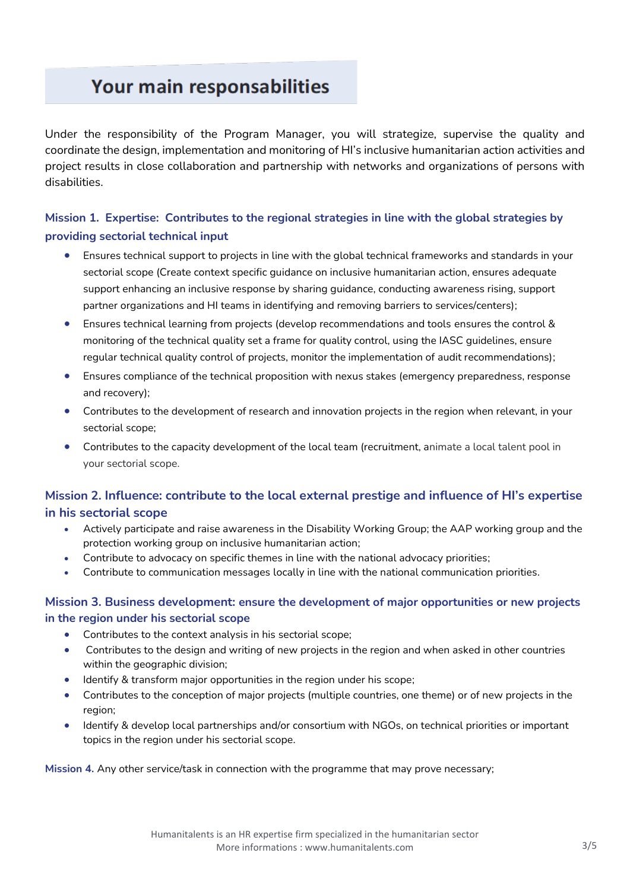## Your main responsabilities

Under the responsibility of the Program Manager, you will strategize, supervise the quality and coordinate the design, implementation and monitoring of HI's inclusive humanitarian action activities and project results in close collaboration and partnership with networks and organizations of persons with disabilities.

#### **Mission 1. Expertise: Contributes to the regional strategies in line with the global strategies by providing sectorial technical input**

- Ensures technical support to projects in line with the global technical frameworks and standards in your sectorial scope (Create context specific guidance on inclusive humanitarian action, ensures adequate support enhancing an inclusive response by sharing guidance, conducting awareness rising, support partner organizations and HI teams in identifying and removing barriers to services/centers);
- Ensures technical learning from projects (develop recommendations and tools ensures the control & monitoring of the technical quality set a frame for quality control, using the IASC guidelines, ensure regular technical quality control of projects, monitor the implementation of audit recommendations);
- Ensures compliance of the technical proposition with nexus stakes (emergency preparedness, response and recovery);
- Contributes to the development of research and innovation projects in the region when relevant, in your sectorial scope;
- Contributes to the capacity development of the local team (recruitment, animate a local talent pool in your sectorial scope.

#### **Mission 2. Influence: contribute to the local external prestige and influence of HI's expertise in his sectorial scope**

- Actively participate and raise awareness in the Disability Working Group; the AAP working group and the protection working group on inclusive humanitarian action;
- Contribute to advocacy on specific themes in line with the national advocacy priorities;
- Contribute to communication messages locally in line with the national communication priorities.

#### **Mission 3. Business development: ensure the development of major opportunities or new projects in the region under his sectorial scope**

- Contributes to the context analysis in his sectorial scope;
- Contributes to the design and writing of new projects in the region and when asked in other countries within the geographic division;
- Identify & transform major opportunities in the region under his scope;
- Contributes to the conception of major projects (multiple countries, one theme) or of new projects in the region;
- Identify & develop local partnerships and/or consortium with NGOs, on technical priorities or important topics in the region under his sectorial scope.

**Mission 4.** Any other service/task in connection with the programme that may prove necessary;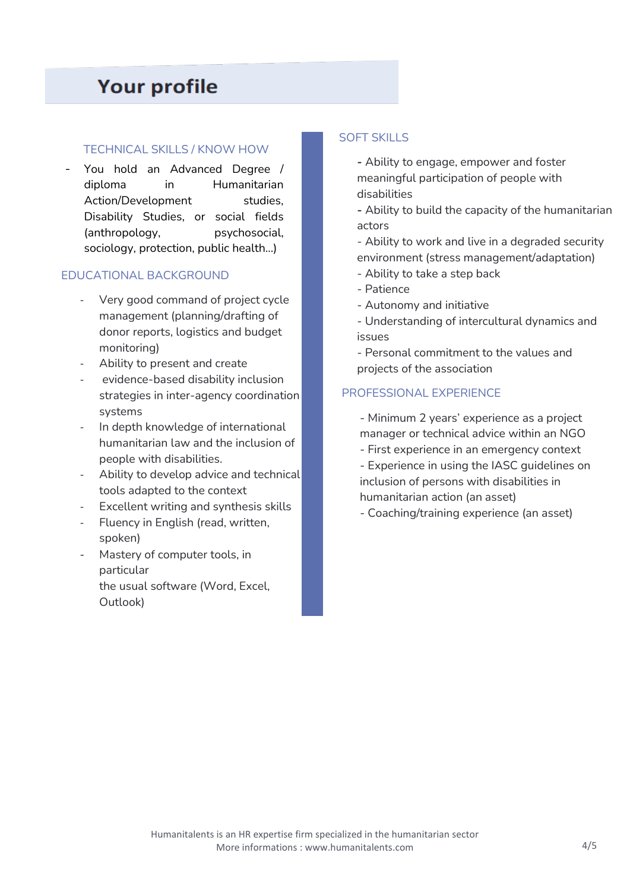### **Your profile**

#### TECHNICAL SKILLS / KNOW HOW

You hold an Advanced Degree / diploma in Humanitarian Action/Development studies, Disability Studies, or social fields (anthropology, psychosocial, sociology, protection, public health…)

#### - EDUCATIONAL BACKGROUND

- Very good command of project cycle management (planning/drafting of donor reports, logistics and budget monitoring)
- Ability to present and create
- evidence-based disability inclusion strategies in inter-agency coordination systems
- In depth knowledge of international humanitarian law and the inclusion of people with disabilities.
- Ability to develop advice and technical tools adapted to the context
- Excellent writing and synthesis skills
- Fluency in English (read, written, spoken)
- Mastery of computer tools, in particular the usual software (Word, Excel, Outlook)

#### SOFT SKILLS

**-** Ability to engage, empower and foster meaningful participation of people with disabilities

**-** Ability to build the capacity of the humanitarian actors

- Ability to work and live in a degraded security environment (stress management/adaptation)

- Ability to take a step back
- Patience
- Autonomy and initiative

- Understanding of intercultural dynamics and issues

- Personal commitment to the values and projects of the association

#### PROFESSIONAL EXPERIENCE

- Minimum 2 years' experience as a project manager or technical advice within an NGO

- First experience in an emergency context

- Experience in using the IASC guidelines on inclusion of persons with disabilities in humanitarian action (an asset)

- Coaching/training experience (an asset)